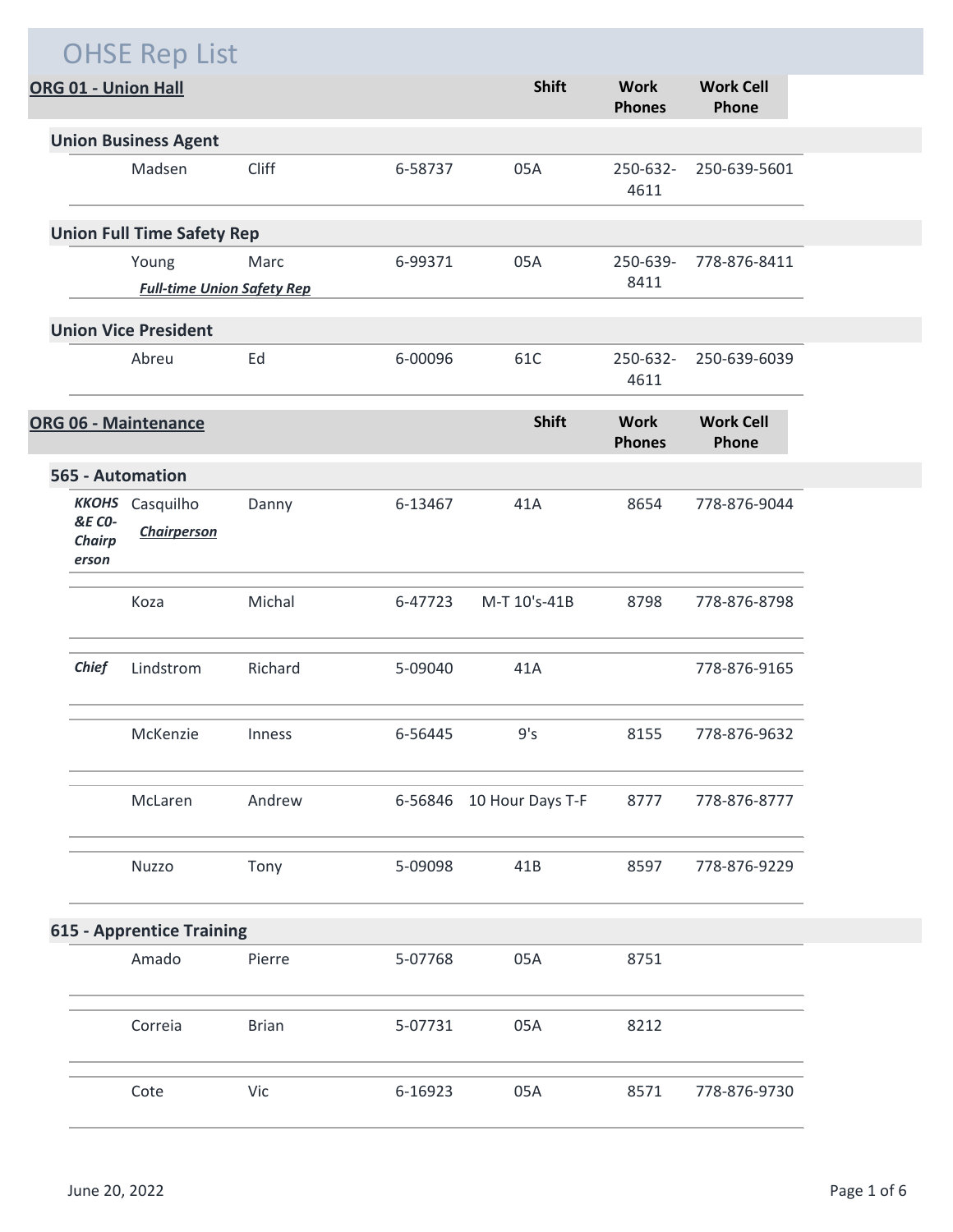|                                             | <b>OHSE Rep List</b>                         |              |         |                          |                              |                           |
|---------------------------------------------|----------------------------------------------|--------------|---------|--------------------------|------------------------------|---------------------------|
|                                             | ORG 01 - Union Hall                          |              |         | <b>Shift</b>             | <b>Work</b><br><b>Phones</b> | <b>Work Cell</b><br>Phone |
|                                             | <b>Union Business Agent</b>                  |              |         |                          |                              |                           |
|                                             | Madsen                                       | Cliff        | 6-58737 | 05A                      | 250-632-<br>4611             | 250-639-5601              |
|                                             | <b>Union Full Time Safety Rep</b>            |              |         |                          |                              |                           |
|                                             | Young                                        | Marc         | 6-99371 | 05A                      | 250-639-                     | 778-876-8411              |
|                                             | <b>Full-time Union Safety Rep</b>            |              |         |                          | 8411                         |                           |
|                                             | <b>Union Vice President</b>                  |              |         |                          |                              |                           |
|                                             | Abreu                                        | Ed           | 6-00096 | 61C                      | 250-632-<br>4611             | 250-639-6039              |
|                                             | <b>ORG 06 - Maintenance</b>                  |              |         | <b>Shift</b>             | <b>Work</b><br><b>Phones</b> | <b>Work Cell</b><br>Phone |
|                                             | 565 - Automation                             |              |         |                          |                              |                           |
| <b>&amp;E CO-</b><br><b>Chairp</b><br>erson | <b>KKOHS</b> Casquilho<br><b>Chairperson</b> | Danny        | 6-13467 | 41A                      | 8654                         | 778-876-9044              |
|                                             | Koza                                         | Michal       | 6-47723 | M-T 10's-41B             | 8798                         | 778-876-8798              |
| <b>Chief</b>                                | Lindstrom                                    | Richard      | 5-09040 | 41A                      |                              | 778-876-9165              |
|                                             | McKenzie                                     | Inness       | 6-56445 | 9's                      | 8155                         | 778-876-9632              |
|                                             | McLaren                                      | Andrew       |         | 6-56846 10 Hour Days T-F | 8777                         | 778-876-8777              |
|                                             | Nuzzo                                        | Tony         | 5-09098 | 41B                      | 8597                         | 778-876-9229              |
| <b>615 - Apprentice Training</b>            |                                              |              |         |                          |                              |                           |
|                                             | Amado                                        | Pierre       | 5-07768 | 05A                      | 8751                         |                           |
|                                             | Correia                                      | <b>Brian</b> | 5-07731 | 05A                      | 8212                         |                           |
|                                             | Cote                                         | Vic          | 6-16923 | 05A                      | 8571                         | 778-876-9730              |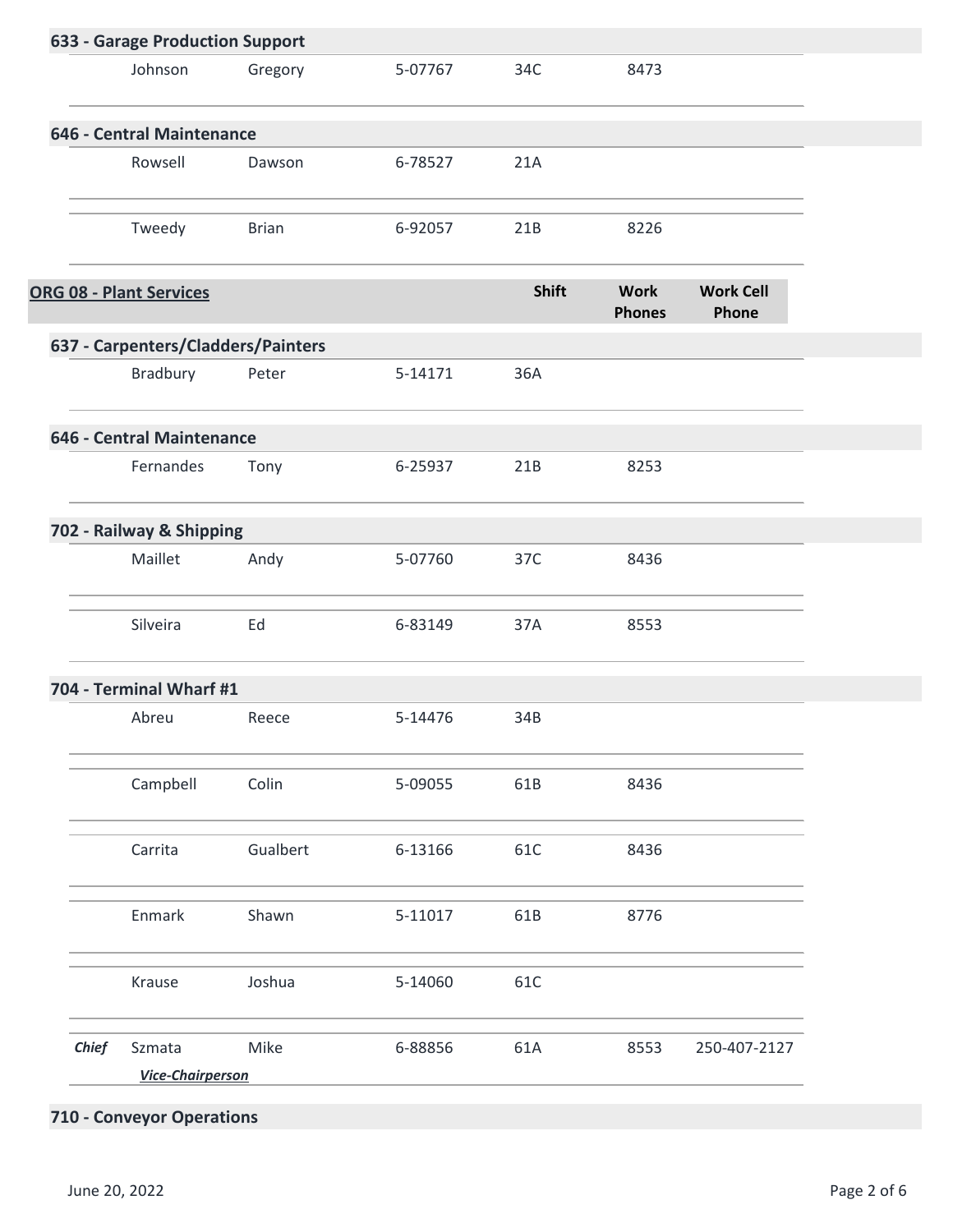| 633 - Garage Production Support    |              |         |       |                              |                           |  |
|------------------------------------|--------------|---------|-------|------------------------------|---------------------------|--|
| Johnson                            | Gregory      | 5-07767 | 34C   | 8473                         |                           |  |
| 646 - Central Maintenance          |              |         |       |                              |                           |  |
| Rowsell                            | Dawson       | 6-78527 | 21A   |                              |                           |  |
| Tweedy                             | <b>Brian</b> | 6-92057 | 21B   | 8226                         |                           |  |
| ORG 08 - Plant Services            |              |         | Shift | <b>Work</b><br><b>Phones</b> | <b>Work Cell</b><br>Phone |  |
| 637 - Carpenters/Cladders/Painters |              |         |       |                              |                           |  |
| Bradbury                           | Peter        | 5-14171 | 36A   |                              |                           |  |
| 646 - Central Maintenance          |              |         |       |                              |                           |  |
| Fernandes                          | Tony         | 6-25937 | 21B   | 8253                         |                           |  |
| 702 - Railway & Shipping           |              |         |       |                              |                           |  |
| Maillet                            | Andy         | 5-07760 | 37C   | 8436                         |                           |  |
| Silveira                           | Ed           | 6-83149 | 37A   | 8553                         |                           |  |
| 704 - Terminal Wharf #1            |              |         |       |                              |                           |  |
| Abreu                              | Reece        | 5-14476 | 34B   |                              |                           |  |
| Campbell                           | Colin        | 5-09055 | 61B   | 8436                         |                           |  |
| Carrita                            | Gualbert     | 6-13166 | 61C   | 8436                         |                           |  |
| Enmark                             | Shawn        | 5-11017 | 61B   | 8776                         |                           |  |
| Krause                             | Joshua       | 5-14060 | 61C   |                              |                           |  |
| <b>Chief</b><br>Szmata             | Mike         | 6-88856 | 61A   | 8553                         | 250-407-2127              |  |
| <b>Vice-Chairperson</b>            |              |         |       |                              |                           |  |

## **710 - Conveyor Operations**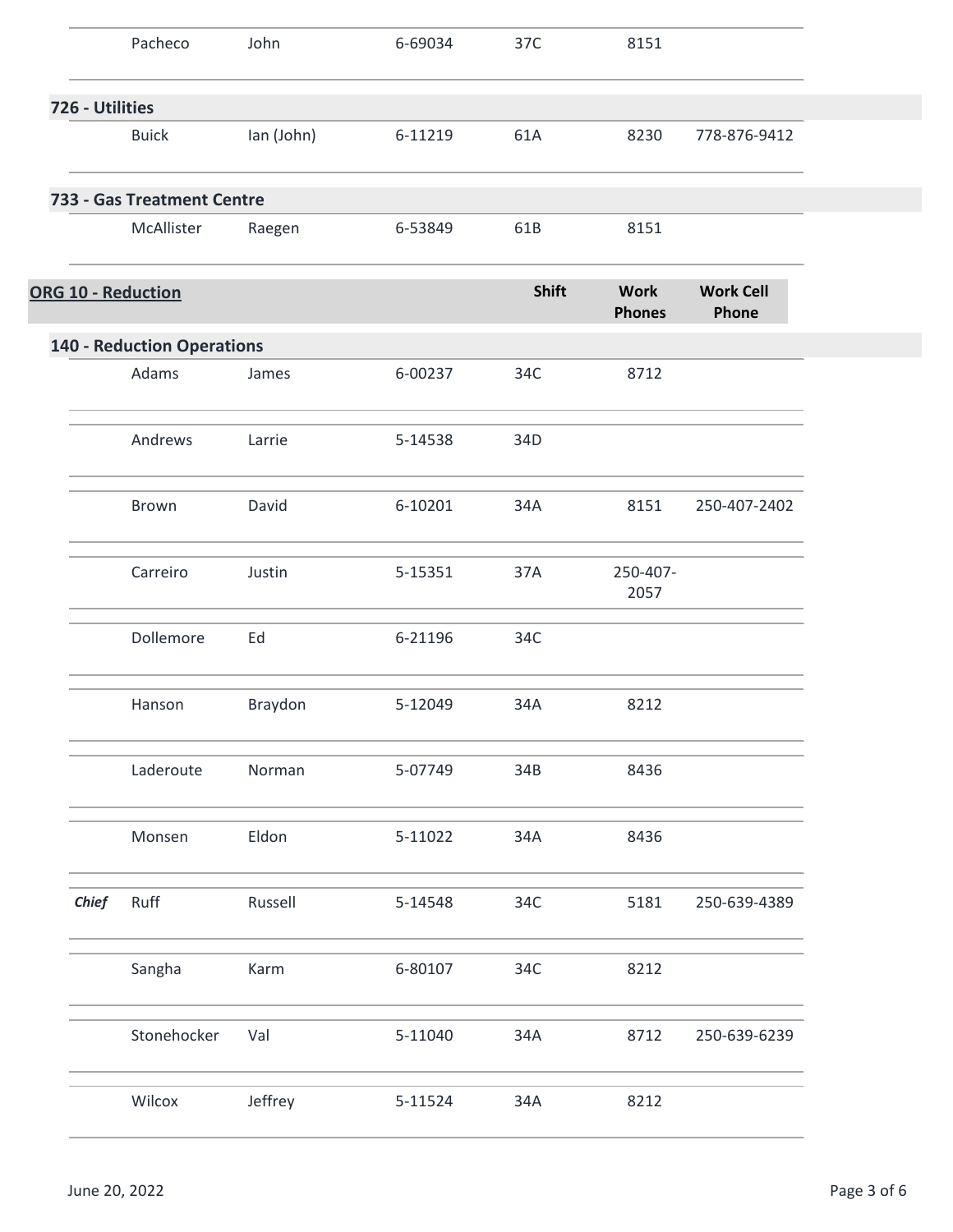|                 | Pacheco                           | John       | 6-69034 | 37C          | 8151                         |                           |
|-----------------|-----------------------------------|------------|---------|--------------|------------------------------|---------------------------|
| 726 - Utilities |                                   |            |         |              |                              |                           |
|                 | <b>Buick</b>                      | lan (John) | 6-11219 | 61A          | 8230                         | 778-876-9412              |
|                 | 733 - Gas Treatment Centre        |            |         |              |                              |                           |
|                 | McAllister                        | Raegen     | 6-53849 | 61B          | 8151                         |                           |
|                 | <b>ORG 10 - Reduction</b>         |            |         | <b>Shift</b> | <b>Work</b><br><b>Phones</b> | <b>Work Cell</b><br>Phone |
|                 | <b>140 - Reduction Operations</b> |            |         |              |                              |                           |
|                 | Adams                             | James      | 6-00237 | 34C          | 8712                         |                           |
|                 | Andrews                           | Larrie     | 5-14538 | 34D          |                              |                           |
|                 | Brown                             | David      | 6-10201 | 34A          | 8151                         | 250-407-2402              |
|                 | Carreiro                          | Justin     | 5-15351 | 37A          | 250-407-<br>2057             |                           |
|                 | Dollemore                         | Ed         | 6-21196 | 34C          |                              |                           |
|                 | Hanson                            | Braydon    | 5-12049 | 34A          | 8212                         |                           |
|                 | Laderoute                         | Norman     | 5-07749 | 34B          | 8436                         |                           |
|                 | Monsen                            | Eldon      | 5-11022 | 34A          | 8436                         |                           |
| <b>Chief</b>    | Ruff                              | Russell    | 5-14548 | 34C          | 5181                         | 250-639-4389              |
|                 | Sangha                            | Karm       | 6-80107 | 34C          | 8212                         |                           |
|                 | Stonehocker                       | Val        | 5-11040 | 34A          | 8712                         | 250-639-6239              |
|                 | Wilcox                            | Jeffrey    | 5-11524 | 34A          | 8212                         |                           |
|                 |                                   |            |         |              |                              |                           |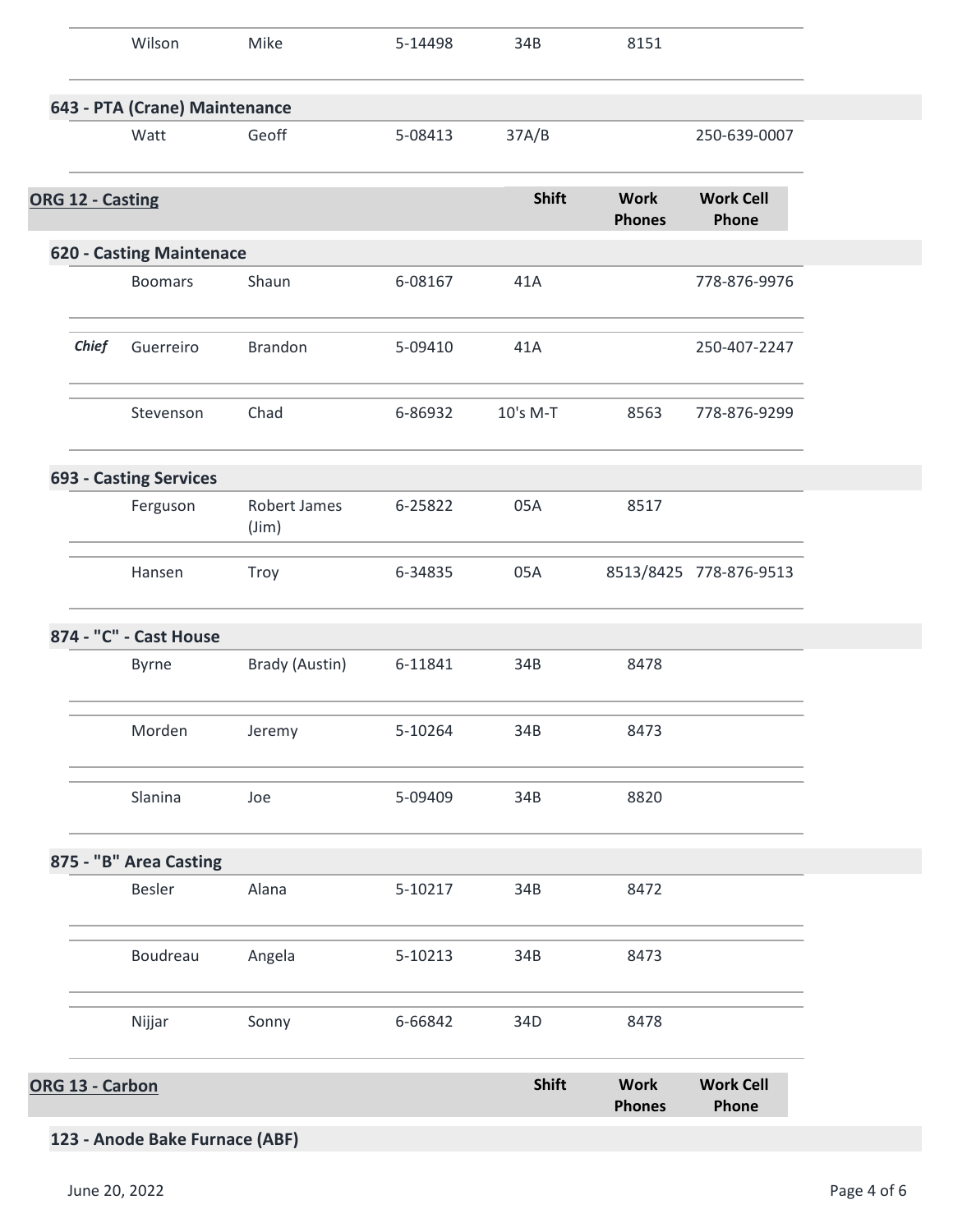|                               |              | Wilson                          | Mike                           | 5-14498 | 34B          | 8151                         |                           |
|-------------------------------|--------------|---------------------------------|--------------------------------|---------|--------------|------------------------------|---------------------------|
| 643 - PTA (Crane) Maintenance |              |                                 |                                |         |              |                              |                           |
|                               |              | Watt                            | Geoff                          | 5-08413 | 37A/B        |                              | 250-639-0007              |
| ORG 12 - Casting              |              |                                 |                                |         | <b>Shift</b> | <b>Work</b><br><b>Phones</b> | <b>Work Cell</b><br>Phone |
|                               |              | <b>620 - Casting Maintenace</b> |                                |         |              |                              |                           |
|                               |              | <b>Boomars</b>                  | Shaun                          | 6-08167 | 41A          |                              | 778-876-9976              |
|                               | <b>Chief</b> | Guerreiro                       | Brandon                        | 5-09410 | 41A          |                              | 250-407-2247              |
|                               |              | Stevenson                       | Chad                           | 6-86932 | 10's M-T     | 8563                         | 778-876-9299              |
|                               |              | <b>693 - Casting Services</b>   |                                |         |              |                              |                           |
|                               |              | Ferguson                        | Robert James<br>$(\text{Jim})$ | 6-25822 | 05A          | 8517                         |                           |
|                               |              | Hansen                          | Troy                           | 6-34835 | 05A          |                              | 8513/8425 778-876-9513    |
|                               |              | 874 - "C" - Cast House          |                                |         |              |                              |                           |
|                               |              | Byrne                           | Brady (Austin)                 | 6-11841 | 34B          | 8478                         |                           |
|                               |              | Morden                          | Jeremy                         | 5-10264 | 34B          | 8473                         |                           |
|                               |              | Slanina                         | Joe                            | 5-09409 | 34B          | 8820                         |                           |
|                               |              | 875 - "B" Area Casting          |                                |         |              |                              |                           |
|                               |              | Besler                          | Alana                          | 5-10217 | 34B          | 8472                         |                           |
|                               |              | Boudreau                        | Angela                         | 5-10213 | 34B          | 8473                         |                           |
|                               |              | Nijjar                          | Sonny                          | 6-66842 | 34D          | 8478                         |                           |
| ORG 13 - Carbon               |              |                                 |                                |         | <b>Shift</b> | <b>Work</b><br><b>Phones</b> | <b>Work Cell</b><br>Phone |

## **123 - Anode Bake Furnace (ABF)**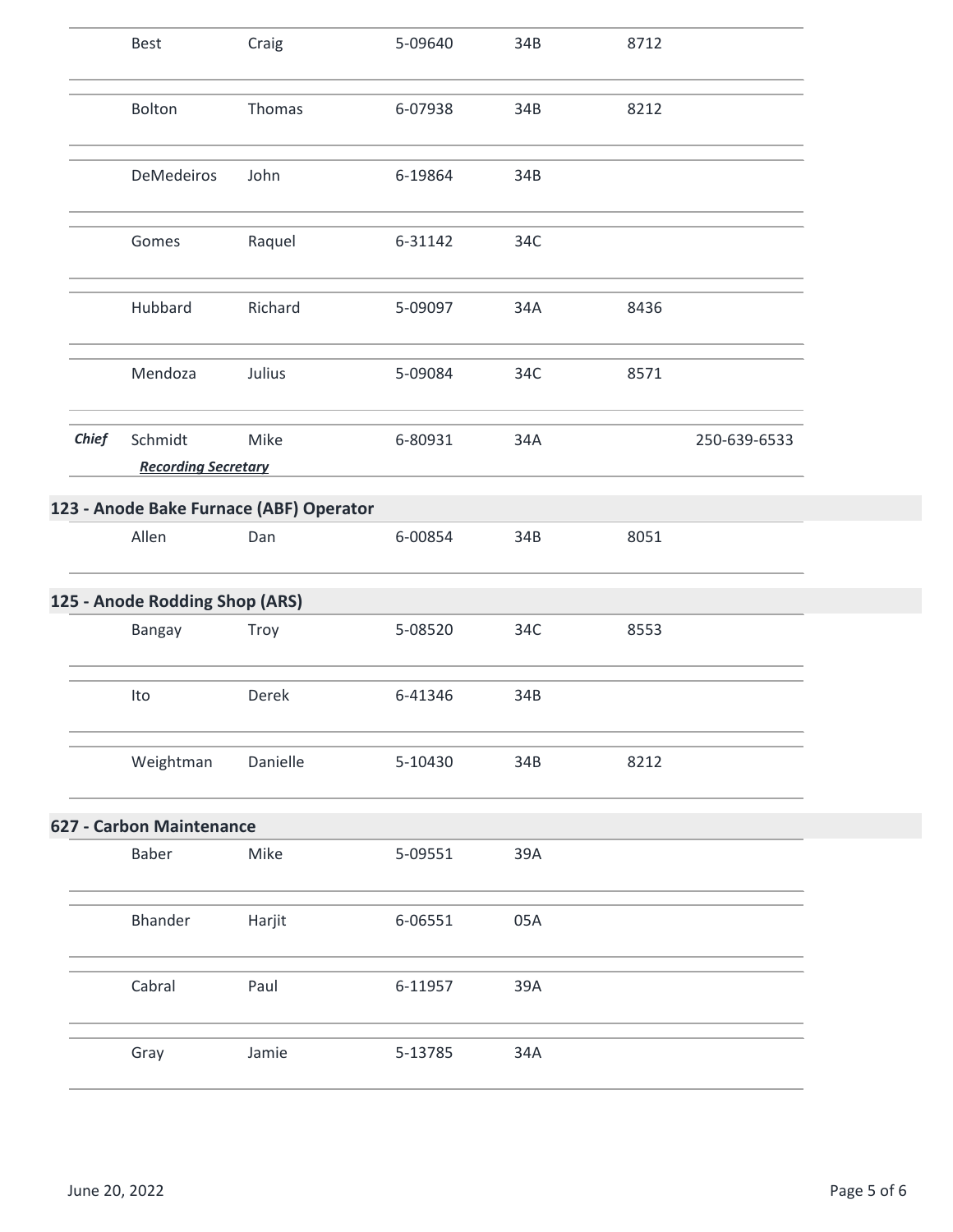|              | Best                                    | Craig    | 5-09640 | 34B | 8712 |              |
|--------------|-----------------------------------------|----------|---------|-----|------|--------------|
|              | Bolton                                  | Thomas   | 6-07938 | 34B | 8212 |              |
|              | DeMedeiros                              | John     | 6-19864 | 34B |      |              |
|              | Gomes                                   | Raquel   | 6-31142 | 34C |      |              |
|              | Hubbard                                 | Richard  | 5-09097 | 34A | 8436 |              |
|              | Mendoza                                 | Julius   | 5-09084 | 34C | 8571 |              |
| <b>Chief</b> | Schmidt<br><b>Recording Secretary</b>   | Mike     | 6-80931 | 34A |      | 250-639-6533 |
|              |                                         |          |         |     |      |              |
|              | 123 - Anode Bake Furnace (ABF) Operator |          |         |     |      |              |
|              | Allen                                   | Dan      | 6-00854 | 34B | 8051 |              |
|              | 125 - Anode Rodding Shop (ARS)          |          |         |     |      |              |
|              | Bangay                                  | Troy     | 5-08520 | 34C | 8553 |              |
|              | Ito                                     | Derek    | 6-41346 | 34B |      |              |
|              | Weightman                               | Danielle | 5-10430 | 34B | 8212 |              |
|              | <b>627 - Carbon Maintenance</b>         |          |         |     |      |              |
|              | Baber                                   | Mike     | 5-09551 | 39A |      |              |
|              | <b>Bhander</b>                          | Harjit   | 6-06551 | 05A |      |              |
|              | Cabral                                  | Paul     | 6-11957 | 39A |      |              |
|              | Gray                                    | Jamie    | 5-13785 | 34A |      |              |
|              |                                         |          |         |     |      |              |